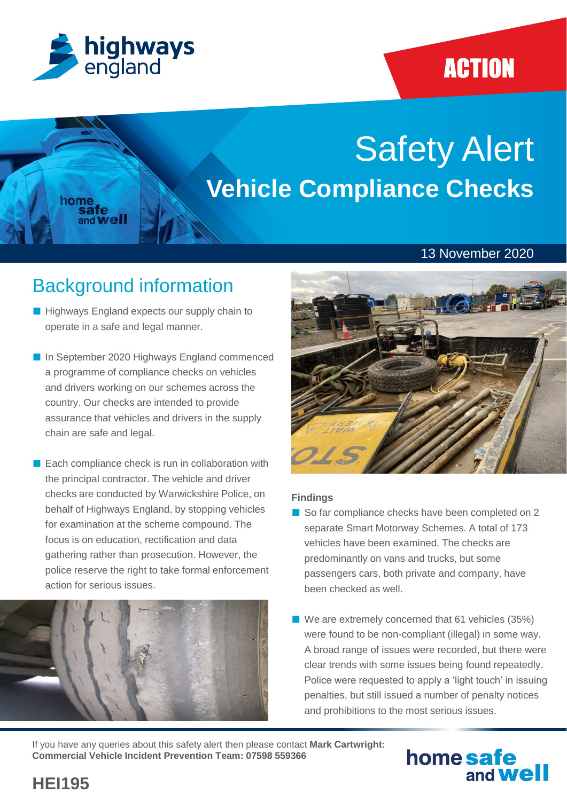

home<br>safe

and Well

## **ACTION**

# Safety Alert **Vehicle Compliance Checks**

### 13 November 2020

### Background information

- Highways England expects our supply chain to operate in a safe and legal manner.
- In September 2020 Highways England commenced a programme of compliance checks on vehicles and drivers working on our schemes across the country. Our checks are intended to provide assurance that vehicles and drivers in the supply chain are safe and legal.
- Each compliance check is run in collaboration with the principal contractor. The vehicle and driver checks are conducted by Warwickshire Police, on behalf of Highways England, by stopping vehicles for examination at the scheme compound. The focus is on education, rectification and data gathering rather than prosecution. However, the police reserve the right to take formal enforcement action for serious issues.





### **Findings**

- So far compliance checks have been completed on 2 separate Smart Motorway Schemes. A total of 173 vehicles have been examined. The checks are predominantly on vans and trucks, but some passengers cars, both private and company, have been checked as well.
- We are extremely concerned that 61 vehicles (35%) were found to be non-compliant (illegal) in some way. A broad range of issues were recorded, but there were clear trends with some issues being found repeatedly. Police were requested to apply a 'light touch' in issuing penalties, but still issued a number of penalty notices and prohibitions to the most serious issues.

If you have any queries about this safety alert then please contact **Mark Cartwright: Commercial Vehicle Incident Prevention Team: 07598 559366**

### home safe and **Well**

**HEI195**